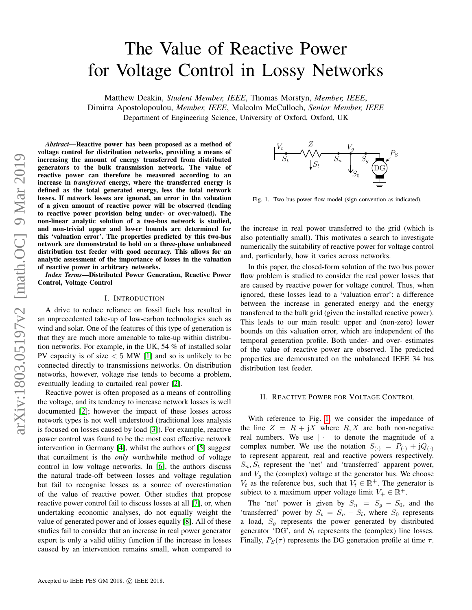# The Value of Reactive Power for Voltage Control in Lossy Networks

Matthew Deakin, *Student Member, IEEE*, Thomas Morstyn, *Member, IEEE*, Dimitra Apostolopoulou, *Member, IEEE*, Malcolm McCulloch, *Senior Member, IEEE* Department of Engineering Science, University of Oxford, Oxford, UK

arXiv:1803.05197v2 [math.OC] 9 Mar 2019 arXiv:1803.05197v2 [math.OC] 9 Mar 2019

*Abstract*—Reactive power has been proposed as a method of voltage control for distribution networks, providing a means of increasing the amount of energy transferred from distributed generators to the bulk transmission network. The value of reactive power can therefore be measured according to an increase in *transferred* energy, where the transferred energy is defined as the total generated energy, less the total network losses. If network losses are ignored, an error in the valuation of a given amount of reactive power will be observed (leading to reactive power provision being under- or over-valued). The non-linear analytic solution of a two-bus network is studied, and non-trivial upper and lower bounds are determined for this 'valuation error'. The properties predicted by this two-bus network are demonstrated to hold on a three-phase unbalanced distribution test feeder with good accuracy. This allows for an analytic assessment of the importance of losses in the valuation of reactive power in arbitrary networks.

*Index Terms*—Distributed Power Generation, Reactive Power Control, Voltage Control

#### I. INTRODUCTION

A drive to reduce reliance on fossil fuels has resulted in an unprecedented take-up of low-carbon technologies such as wind and solar. One of the features of this type of generation is that they are much more amenable to take-up within distribution networks. For example, in the UK, 54 % of installed solar PV capacity is of size  $< 5$  MW [\[1\]](#page-4-0) and so is unlikely to be connected directly to transmissions networks. On distribution networks, however, voltage rise tends to become a problem, eventually leading to curtailed real power [\[2\]](#page-4-1).

Reactive power is often proposed as a means of controlling the voltage, and its tendency to increase network losses is well documented [\[2\]](#page-4-1); however the impact of these losses across network types is not well understood (traditional loss analysis is focused on losses caused by load [\[3\]](#page-4-2)). For example, reactive power control was found to be the most cost effective network intervention in Germany [\[4\]](#page-4-3), whilst the authors of [\[5\]](#page-4-4) suggest that curtailment is the *only* worthwhile method of voltage control in low voltage networks. In [\[6\]](#page-4-5), the authors discuss the natural trade-off between losses and voltage regulation but fail to recognise losses as a source of overestimation of the value of reactive power. Other studies that propose reactive power control fail to discuss losses at all [\[7\]](#page-4-6), or, when undertaking economic analyses, do not equally weight the value of generated power and of losses equally [\[8\]](#page-4-7). All of these studies fail to consider that an increase in real power generator export is only a valid utility function if the increase in losses caused by an intervention remains small, when compared to



<span id="page-0-0"></span>Fig. 1. Two bus power flow model (sign convention as indicated).

the increase in real power transferred to the grid (which is also potentially small). This motivates a search to investigate numerically the suitability of reactive power for voltage control and, particularly, how it varies across networks.

In this paper, the closed-form solution of the two bus power flow problem is studied to consider the real power losses that are caused by reactive power for voltage control. Thus, when ignored, these losses lead to a 'valuation error': a difference between the increase in generated energy and the energy transferred to the bulk grid (given the installed reactive power). This leads to our main result: upper and (non-zero) lower bounds on this valuation error, which are independent of the temporal generation profile. Both under- and over- estimates of the value of reactive power are observed. The predicted properties are demonstrated on the unbalanced IEEE 34 bus distribution test feeder.

#### II. REACTIVE POWER FOR VOLTAGE CONTROL

With reference to Fig. [1,](#page-0-0) we consider the impedance of the line  $Z = R + jX$  where  $R, X$  are both non-negative real numbers. We use  $|\cdot|$  to denote the magnitude of a complex number. We use the notation  $S_{(.)} = P_{(.)} + jQ_{(.)}$ to represent apparent, real and reactive powers respectively.  $S_n, S_t$  represent the 'net' and 'transferred' apparent power, and  $V<sub>g</sub>$  the (complex) voltage at the generator bus. We choose  $V_t$  as the reference bus, such that  $V_t \in \mathbb{R}^+$ . The generator is subject to a maximum upper voltage limit  $V_+ \in \mathbb{R}^+$ .

The 'net' power is given by  $S_n = S_g - S_0$ , and the 'transferred' power by  $S_t = S_n - S_l$ , where  $S_0$  represents a load,  $S_a$  represents the power generated by distributed generator 'DG', and  $S_l$  represents the (complex) line losses. Finally,  $P_S(\tau)$  represents the DG generation profile at time  $\tau$ .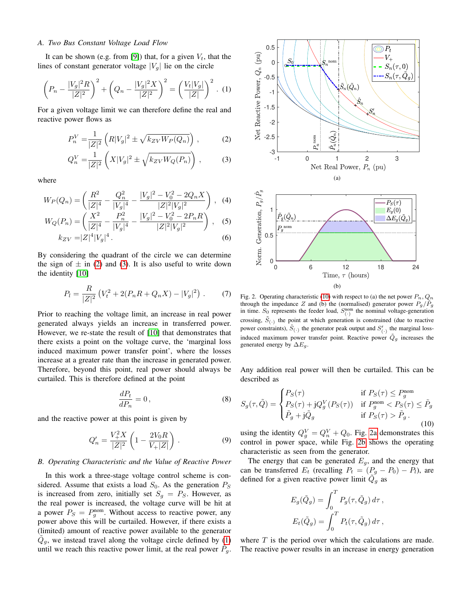## *A. Two Bus Constant Voltage Load Flow*

It can be shown (e.g. from [\[9\]](#page-4-8)) that, for a given  $V_t$ , that the lines of constant generator voltage  $|V_g|$  lie on the circle

<span id="page-1-2"></span>
$$
\left(P_n - \frac{|V_g|^2 R}{|Z|^2}\right)^2 + \left(Q_n - \frac{|V_g|^2 X}{|Z|^2}\right)^2 = \left(\frac{V_t |V_g|}{|Z|}\right)^2. (1)
$$

For a given voltage limit we can therefore define the real and reactive power flows as

$$
P_n^V = \frac{1}{|Z|^2} \left( R|V_g|^2 \pm \sqrt{k_{ZV} W_P(Q_n)} \right) ,\qquad (2)
$$

$$
Q_n^V = \frac{1}{|Z|^2} \left( X|V_g|^2 \pm \sqrt{k_{ZV}W_Q(P_n)} \right), \tag{3}
$$

where

$$
W_P(Q_n) = \left(\frac{R^2}{|Z|^4} - \frac{Q_n^2}{|V_g|^4} - \frac{|V_g|^2 - V_0^2 - 2Q_n X}{|Z|^2 |V_g|^2}\right), \quad (4)
$$

$$
W_Q(P_n) = \left(\frac{X^2}{|Z|^4} - \frac{P_n^2}{|V_g|^4} - \frac{|V_g|^2 - V_0^2 - 2P_n R}{|Z|^2 |V_g|^2}\right), \quad (5)
$$

$$
k_{ZV} = |Z|^4 |V_g|^4.
$$
 (6)

By considering the quadrant of the circle we can determine the sign of  $\pm$  in [\(2\)](#page-1-0) and [\(3\)](#page-1-1). It is also useful to write down the identity [\[10\]](#page-4-9)

<span id="page-1-7"></span>
$$
P_l = \frac{R}{|Z|^2} \left( V_t^2 + 2(P_n R + Q_n X) - |V_g|^2 \right) . \tag{7}
$$

Prior to reaching the voltage limit, an increase in real power generated always yields an increase in transferred power. However, we re-state the result of [\[10\]](#page-4-9) that demonstrates that there exists a point on the voltage curve, the 'marginal loss induced maximum power transfer point', where the losses increase at a greater rate than the increase in generated power. Therefore, beyond this point, real power should always be curtailed. This is therefore defined at the point

$$
\frac{dP_t}{dP_n} = 0\,,\tag{8}
$$

and the reactive power at this point is given by

<span id="page-1-6"></span>
$$
Q_n' = \frac{V_+^2 X}{|Z|^2} \left( 1 - \frac{2V_0 R}{V_+ |Z|} \right) . \tag{9}
$$

### *B. Operating Characteristic and the Value of Reactive Power*

In this work a three-stage voltage control scheme is considered. Assume that exists a load  $S_0$ . As the generation  $P_S$ is increased from zero, initially set  $S_g = P_S$ . However, as the real power is increased, the voltage curve will be hit at a power  $P_S = P_g^{\text{nom}}$ . Without access to reactive power, any power above this will be curtailed. However, if there exists a (limited) amount of reactive power available to the generator  $\tilde{Q}_g$ , we instead travel along the voltage circle defined by [\(1\)](#page-1-2) until we reach this reactive power limit, at the real power  $\tilde{P}_g$ .

<span id="page-1-4"></span><span id="page-1-1"></span><span id="page-1-0"></span>

<span id="page-1-5"></span>Fig. 2. Operating characteristic [\(10\)](#page-1-3) with respect to (a) the net power  $P_n, Q_n$ through the impedance Z and (b) the (normalised) generator power  $P_g/\hat{P}_g$ in time.  $S_0$  represents the feeder load,  $S_{(.)}^{\text{nom}}$  the nominal voltage-generation crossing,  $\tilde{S}_{(.)}$  the point at which generation is constrained (due to reactive power constraints),  $\hat{S}_{(\cdot)}$  the generator peak output and  $S'_{(\cdot)}$  the marginal lossinduced maximum power transfer point. Reactive power  $\tilde{Q}_g$  increases the generated energy by  $\Delta E_q$ .

Any addition real power will then be curtailed. This can be described as

<span id="page-1-3"></span>
$$
S_g(\tau, \tilde{Q}) = \begin{cases} P_S(\tau) & \text{if } P_S(\tau) \le P_g^{\text{nom}} \\ P_S(\tau) + jQ_g^V(P_S(\tau)) & \text{if } P_g^{\text{nom}} < P_S(\tau) \le \tilde{P}_g \\ \tilde{P}_g + j\tilde{Q}_g & \text{if } P_S(\tau) > \tilde{P}_g. \end{cases} \tag{10}
$$

using the identity  $Q_g^V = Q_n^V + Q_0$ . Fig. [2a](#page-1-4) demonstrates this control in power space, while Fig. [2b](#page-1-5) shows the operating characteristic as seen from the generator.

The energy that can be generated  $E<sub>g</sub>$ , and the energy that can be transferred  $E_t$  (recalling  $P_t = (P_g - P_0) - P_l$ ), are defined for a given reactive power limit  $\tilde{Q}_g$  as

$$
E_g(\tilde{Q}_g) = \int_0^T P_g(\tau, \tilde{Q}_g) d\tau,
$$
  

$$
E_t(\tilde{Q}_g) = \int_0^T P_t(\tau, \tilde{Q}_g) d\tau,
$$

where  $T$  is the period over which the calculations are made. The reactive power results in an increase in energy generation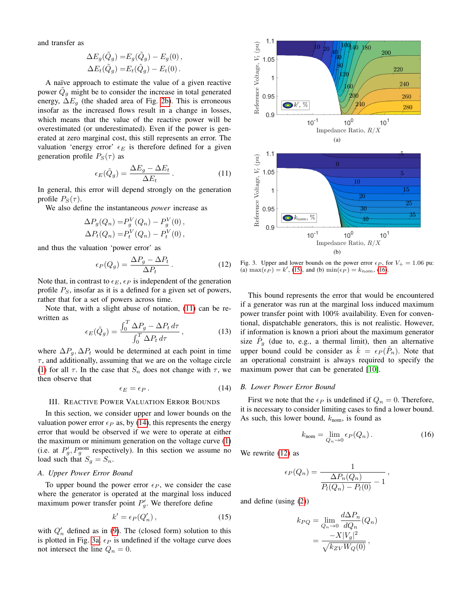and transfer as

$$
\Delta E_g(\tilde{Q}_g) = E_g(\tilde{Q}_g) - E_g(0),
$$
  

$$
\Delta E_t(\tilde{Q}_g) = E_t(\tilde{Q}_g) - E_t(0).
$$

A naïve approach to estimate the value of a given reactive power  $\tilde{Q}_g$  might be to consider the increase in total generated energy,  $\Delta E_q$  (the shaded area of Fig. [2b\)](#page-1-5). This is erroneous insofar as the increased flows result in a change in losses, which means that the value of the reactive power will be overestimated (or underestimated). Even if the power is generated at zero marginal cost, this still represents an error. The valuation 'energy error'  $\epsilon_E$  is therefore defined for a given generation profile  $P_S(\tau)$  as

<span id="page-2-0"></span>
$$
\epsilon_E(\tilde{Q}_g) = \frac{\Delta E_g - \Delta E_t}{\Delta E_t} \,. \tag{11}
$$

In general, this error will depend strongly on the generation profile  $P_S(\tau)$ .

We also define the instantaneous *power* increase as

$$
\Delta P_g(Q_n) = P_g^V(Q_n) - P_g^V(0), \n\Delta P_t(Q_n) = P_t^V(Q_n) - P_t^V(0),
$$

and thus the valuation 'power error' as

<span id="page-2-5"></span>
$$
\epsilon_P(Q_g) = \frac{\Delta P_g - \Delta P_t}{\Delta P_t} \,. \tag{12}
$$

Note that, in contrast to  $\epsilon_E$ ,  $\epsilon_P$  is independent of the generation profile  $P<sub>S</sub>$ , insofar as it is a defined for a given set of powers, rather that for a set of powers across time.

Note that, with a slight abuse of notation, [\(11\)](#page-2-0) can be rewritten as

<span id="page-2-8"></span>
$$
\epsilon_E(\tilde{Q}_g) = \frac{\int_0^T \Delta P_g - \Delta P_t \, d\tau}{\int_0^T \Delta P_t \, d\tau},\tag{13}
$$

where  $\Delta P_q$ ,  $\Delta P_t$  would be determined at each point in time  $\tau$ , and additionally, assuming that we are on the voltage circle [\(1\)](#page-1-2) for all  $\tau$ . In the case that  $S_n$  does not change with  $\tau$ , we then observe that

<span id="page-2-1"></span>
$$
\epsilon_E = \epsilon_P. \tag{14}
$$

## <span id="page-2-7"></span>III. REACTIVE POWER VALUATION ERROR BOUNDS

In this section, we consider upper and lower bounds on the valuation power error  $\epsilon_P$  as, by [\(14\)](#page-2-1), this represents the energy error that would be observed if we were to operate at either the maximum or minimum generation on the voltage curve [\(1\)](#page-1-2) (i.e. at  $P'_{g}$ ,  $P_{g}^{\text{nom}}$  respectively). In this section we assume no load such that  $S_g = S_n$ .

### <span id="page-2-9"></span>*A. Upper Power Error Bound*

To upper bound the power error  $\epsilon_P$ , we consider the case where the generator is operated at the marginal loss induced maximum power transfer point  $P'_{g}$ . We therefore define

<span id="page-2-3"></span>
$$
k' = \epsilon_P(Q'_n),\tag{15}
$$

with  $Q'_n$  defined as in [\(9\)](#page-1-6). The (closed form) solution to this is plotted in Fig. [3a.](#page-2-2)  $\epsilon_P$  is undefined if the voltage curve does not intersect the line  $Q_n = 0$ .

<span id="page-2-2"></span>

<span id="page-2-6"></span>Fig. 3. Upper and lower bounds on the power error  $\epsilon_P$ , for  $V_+ = 1.06$  pu: (a)  $\max(\epsilon_P) = k'$ , [\(15\)](#page-2-3), and (b)  $\min(\epsilon_P) = k_{nom}$ , [\(16\)](#page-2-4).

This bound represents the error that would be encountered if a generator was run at the marginal loss induced maximum power transfer point with 100% availability. Even for conventional, dispatchable generators, this is not realistic. However, if information is known a priori about the maximum generator size  $\hat{P}_g$  (due to, e.g., a thermal limit), then an alternative upper bound could be consider as  $\hat{k} = \epsilon_P (\hat{P}_n)$ . Note that an operational constraint is always required to specify the maximum power that can be generated [\[10\]](#page-4-9).

### *B. Lower Power Error Bound*

First we note that the  $\epsilon_P$  is undefined if  $Q_n = 0$ . Therefore, it is necessary to consider limiting cases to find a lower bound. As such, this lower bound,  $k_{\text{nom}}$ , is found as

<span id="page-2-4"></span>
$$
k_{\text{nom}} = \lim_{Q_n \to 0} \epsilon_P(Q_n). \tag{16}
$$

We rewrite [\(12\)](#page-2-5) as

$$
\epsilon_P(Q_n) = \frac{1}{\frac{\Delta P_n(Q_n)}{P_l(Q_n) - P_l(0)} - 1},
$$

and define (using [\(2\)](#page-1-0))

$$
k_{PQ} = \lim_{Q_n \to 0} \frac{d\Delta P_n}{dQ_n}(Q_n)
$$

$$
= \frac{-X|V_g|^2}{\sqrt{k_{ZV}W_Q(0)}},
$$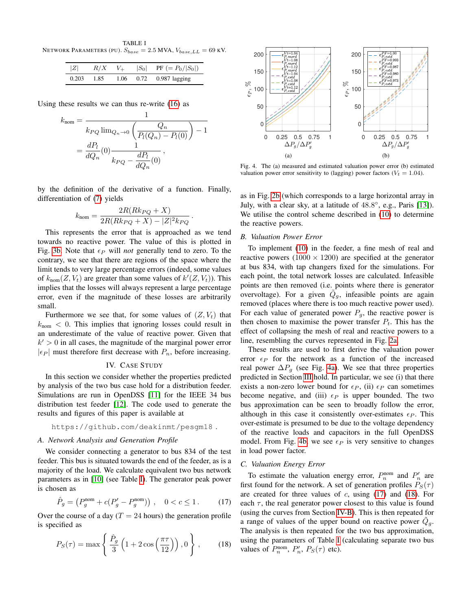<span id="page-3-0"></span>TABLE I NETWORK PARAMETERS (PU).  $S_{base} = 2.5$  MVA,  $V_{base, LL} = 69$  KV.

| Z     |      |      | $R/X$ $V_+$ $ S_0 $ PF $(= P_0/ S_0 )$ |
|-------|------|------|----------------------------------------|
| 0.203 | 1.85 | 1.06 | $0.72$ 0.987 lagging                   |

Using these results we can thus re-write [\(16\)](#page-2-4) as

$$
k_{\text{nom}} = \frac{1}{k_{PQ} \lim_{Q_n \to 0} \left( \frac{Q_n}{P_l(Q_n) - P_l(0)} \right) - 1}
$$
  
= 
$$
\frac{dP_l}{dQ_n}(0) \frac{1}{k_{PQ} - \frac{dP_l}{dQ_n}(0)},
$$

by the definition of the derivative of a function. Finally, differentiation of [\(7\)](#page-1-7) yields

$$
k_{\rm nom}=\frac{2R(Rk_{PQ}+X)}{2R(Rk_{PQ}+X)-|Z|^2k_{PQ}}\,.
$$

This represents the error that is approached as we tend towards no reactive power. The value of this is plotted in Fig. [3b.](#page-2-6) Note that  $\epsilon_P$  will *not* generally tend to zero. To the contrary, we see that there are regions of the space where the limit tends to very large percentage errors (indeed, some values of  $k_{\text{nom}}(Z, V_t)$  are greater than some values of  $k'(Z, V_t)$ ). This implies that the losses will always represent a large percentage error, even if the magnitude of these losses are arbitrarily small.

Furthermore we see that, for some values of  $(Z, V_t)$  that  $k_{\text{nom}} < 0$ . This implies that ignoring losses could result in an underestimate of the value of reactive power. Given that  $k' > 0$  in all cases, the magnitude of the marginal power error  $|\epsilon_P|$  must therefore first decrease with  $P_n$ , before increasing.

# IV. CASE STUDY

In this section we consider whether the properties predicted by analysis of the two bus case hold for a distribution feeder. Simulations are run in OpenDSS [\[11\]](#page-4-10) for the IEEE 34 bus distribution test feeder [\[12\]](#page-4-11). The code used to generate the results and figures of this paper is available at

## https://github.com/deakinmt/pesgm18 .

# *A. Network Analysis and Generation Profile*

We consider connecting a generator to bus 834 of the test feeder. This bus is situated towards the end of the feeder, as is a majority of the load. We calculate equivalent two bus network parameters as in [\[10\]](#page-4-9) (see Table [I\)](#page-3-0). The generator peak power is chosen as

<span id="page-3-3"></span>
$$
\hat{P}_g = (P_g^{\text{nom}} + c(P_g' - P_g^{\text{nom}})), \quad 0 < c \le 1. \tag{17}
$$

Over the course of a day ( $T = 24$  hours) the generation profile is specified as

<span id="page-3-4"></span>
$$
P_S(\tau) = \max\left\{\frac{\hat{P}_g}{3}\left(1 + 2\cos\left(\frac{\pi\tau}{12}\right)\right), 0\right\},\qquad(18)
$$

<span id="page-3-1"></span>

<span id="page-3-2"></span>Fig. 4. The (a) measured and estimated valuation power error (b) estimated valuation power error sensitivity to (lagging) power factors ( $V_t = 1.04$ ).

as in Fig. [2b](#page-1-5) (which corresponds to a large horizontal array in July, with a clear sky, at a latitude of  $48.8^\circ$ , e.g., Paris [\[13\]](#page-4-12)). We utilise the control scheme described in [\(10\)](#page-1-3) to determine the reactive powers.

## <span id="page-3-5"></span>*B. Valuation Power Error*

To implement [\(10\)](#page-1-3) in the feeder, a fine mesh of real and reactive powers  $(1000 \times 1200)$  are specified at the generator at bus 834, with tap changers fixed for the simulations. For each point, the total network losses are calculated. Infeasible points are then removed (i.e. points where there is generator overvoltage). For a given  $\tilde{Q}_g$ , infeasible points are again removed (places where there is too much reactive power used). For each value of generated power  $P_g$ , the reactive power is then chosen to maximise the power transfer  $P_t$ . This has the effect of collapsing the mesh of real and reactive powers to a line, resembling the curves represented in Fig. [2a.](#page-1-4)

These results are used to first derive the valuation power error  $\epsilon_P$  for the network as a function of the increased real power  $\Delta P_g$  (see Fig. [4a\)](#page-3-1). We see that three properties predicted in Section [III](#page-2-7) hold. In particular, we see (i) that there exists a non-zero lower bound for  $\epsilon_P$ , (ii)  $\epsilon_P$  can sometimes become negative, and (iii)  $\epsilon_P$  is upper bounded. The two bus approximation can be seen to broadly follow the error, although in this case it consistently over-estimates  $\epsilon_P$ . This over-estimate is presumed to be due to the voltage dependency of the reactive loads and capacitors in the full OpenDSS model. From Fig. [4b,](#page-3-2) we see  $\epsilon_P$  is very sensitive to changes in load power factor.

#### *C. Valuation Energy Error*

To estimate the valuation energy error,  $P_n^{\text{nom}}$  and  $P'_n$  are first found for the network. A set of generation profiles  $P_S(\tau)$ are created for three values of  $c$ , using [\(17\)](#page-3-3) and [\(18\)](#page-3-4). For each  $\tau$ , the real generator power closest to this value is found (using the curves from Section [IV-B\)](#page-3-5). This is then repeated for a range of values of the upper bound on reactive power  $\tilde{Q}_g$ . The analysis is then repeated for the two bus approximation, using the parameters of Table [I](#page-3-0) (calculating separate two bus values of  $P_n^{\text{nom}}, P_n', P_S(\tau)$  etc).